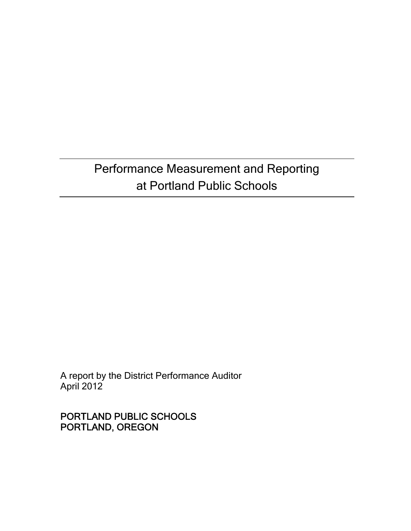## Performance Measurement and Reporting at Portland Public Schools

A report by the District Performance Auditor April 2012

PORTLAND PUBLIC SCHOOLS PORTLAND, OREGON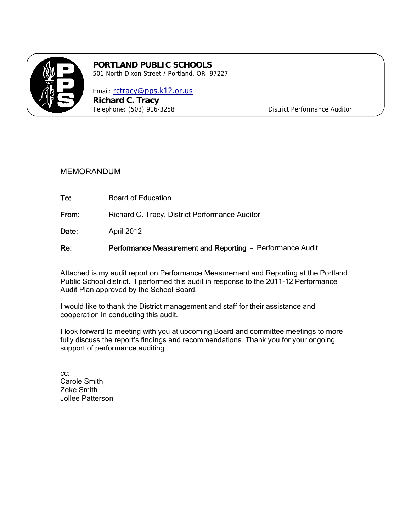

#### **PORTLAND PUBLIC SCHOOLS**  501 North Dixon Street / Portland, OR 97227

Email: rctracy@pps.k12.or.us **Richard C. Tracy** 

Telephone: (503) 916-3258 District Performance Auditor

#### MEMORANDUM

To: Board of Education

From: Richard C. Tracy, District Performance Auditor

Date: April 2012

Re: Performance Measurement and Reporting - Performance Audit

Attached is my audit report on Performance Measurement and Reporting at the Portland Public School district. I performed this audit in response to the 2011-12 Performance Audit Plan approved by the School Board.

I would like to thank the District management and staff for their assistance and cooperation in conducting this audit.

I look forward to meeting with you at upcoming Board and committee meetings to more fully discuss the report's findings and recommendations. Thank you for your ongoing support of performance auditing.

cc: Carole Smith Zeke Smith Jollee Patterson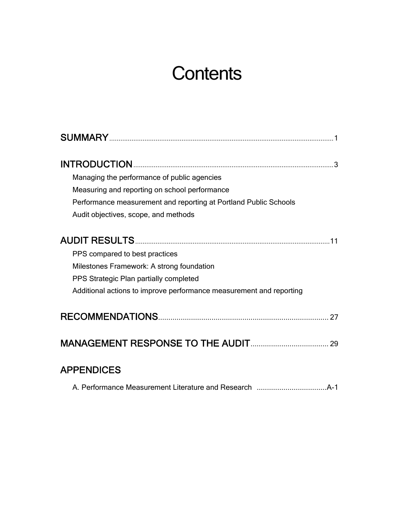## **Contents**

| Managing the performance of public agencies                         |
|---------------------------------------------------------------------|
| Measuring and reporting on school performance                       |
| Performance measurement and reporting at Portland Public Schools    |
| Audit objectives, scope, and methods                                |
|                                                                     |
| PPS compared to best practices                                      |
| Milestones Framework: A strong foundation                           |
| PPS Strategic Plan partially completed                              |
| Additional actions to improve performance measurement and reporting |
|                                                                     |
|                                                                     |
| <b>APPENDICES</b>                                                   |

|--|--|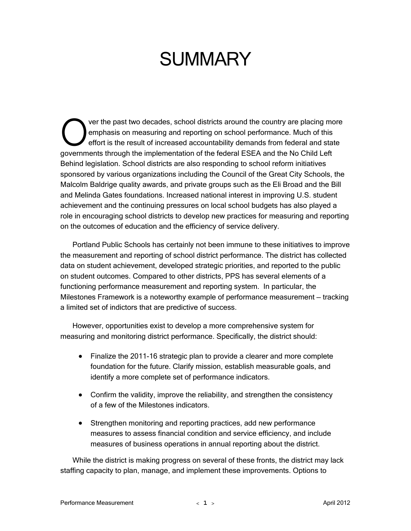## **SUMMARY**

ver the past two decades, school districts around the country are placing more emphasis on measuring and reporting on school performance. Much of this effort is the result of increased accountability demands from federal and state ver the past two decades, school districts around the country are placing more emphasis on measuring and reporting on school performance. Much of this effort is the result of increased accountability demands from federal a Behind legislation. School districts are also responding to school reform initiatives sponsored by various organizations including the Council of the Great City Schools, the Malcolm Baldrige quality awards, and private groups such as the Eli Broad and the Bill and Melinda Gates foundations. Increased national interest in improving U.S. student achievement and the continuing pressures on local school budgets has also played a role in encouraging school districts to develop new practices for measuring and reporting on the outcomes of education and the efficiency of service delivery.

Portland Public Schools has certainly not been immune to these initiatives to improve the measurement and reporting of school district performance. The district has collected data on student achievement, developed strategic priorities, and reported to the public on student outcomes. Compared to other districts, PPS has several elements of a functioning performance measurement and reporting system. In particular, the Milestones Framework is a noteworthy example of performance measurement — tracking a limited set of indictors that are predictive of success.

However, opportunities exist to develop a more comprehensive system for measuring and monitoring district performance. Specifically, the district should:

- Finalize the 2011-16 strategic plan to provide a clearer and more complete foundation for the future. Clarify mission, establish measurable goals, and identify a more complete set of performance indicators.
- Confirm the validity, improve the reliability, and strengthen the consistency of a few of the Milestones indicators.
- Strengthen monitoring and reporting practices, add new performance measures to assess financial condition and service efficiency, and include measures of business operations in annual reporting about the district.

While the district is making progress on several of these fronts, the district may lack staffing capacity to plan, manage, and implement these improvements. Options to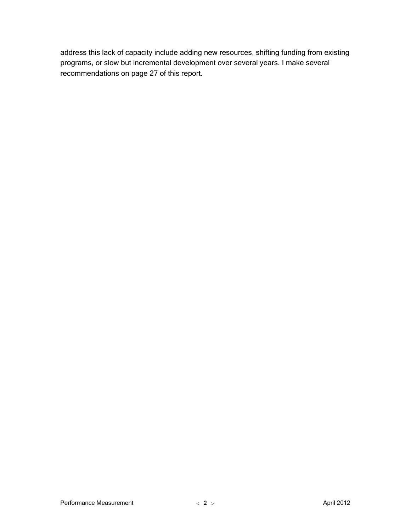address this lack of capacity include adding new resources, shifting funding from existing programs, or slow but incremental development over several years. I make several recommendations on page 27 of this report.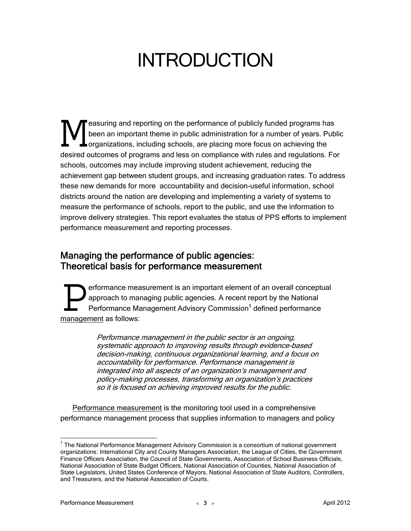## INTRODUCTION

easuring and reporting on the performance of publicly funded programs has been an important theme in public administration for a number of years. Public organizations, including schools, are placing more focus on achieving the **the Sammannian** and reporting on the performance of publicly funded programs has been an important theme in public administration for a number of years. Public draganizations, including schools, are placing more focus on schools, outcomes may include improving student achievement, reducing the achievement gap between student groups, and increasing graduation rates. To address these new demands for more accountability and decision-useful information, school districts around the nation are developing and implementing a variety of systems to measure the performance of schools, report to the public, and use the information to improve delivery strategies. This report evaluates the status of PPS efforts to implement performance measurement and reporting processes.

### Managing the performance of public agencies: Theoretical basis for performance measurement

erformance measurement is an important element of an overall conceptual approach to managing public agencies. A recent report by the National Performance Management Advisory Commission<sup>1</sup> defined performance erformance mea<br>
Performance Ma<br>
management as follows:

> Performance management in the public sector is an ongoing, systematic approach to improving results through evidence-based decision-making, continuous organizational learning, and a focus on accountability for performance. Performance management is integrated into all aspects of an organization's management and policy-making processes, transforming an organization's practices so it is focused on achieving improved results for the public.

Performance measurement is the monitoring tool used in a comprehensive performance management process that supplies information to managers and policy

 $\overline{a}$ 

<sup>&</sup>lt;sup>1</sup> The National Performance Management Advisory Commission is a consortium of national government organizations: International City and County Managers Association, the League of Cities, the Government Finance Officers Association, the Council of State Governments, Association of School Business Officials, National Association of State Budget Officers, National Association of Counties, National Association of State Legislators, United States Conference of Mayors, National Association of State Auditors, Controllers, and Treasurers, and the National Association of Courts.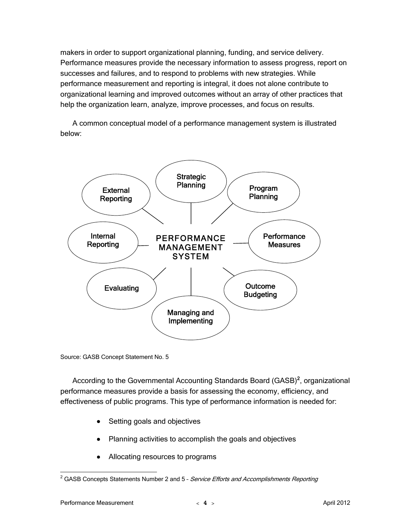makers in order to support organizational planning, funding, and service delivery. Performance measures provide the necessary information to assess progress, report on successes and failures, and to respond to problems with new strategies. While performance measurement and reporting is integral, it does not alone contribute to organizational learning and improved outcomes without an array of other practices that help the organization learn, analyze, improve processes, and focus on results.

A common conceptual model of a performance management system is illustrated below:



Source: GASB Concept Statement No. 5

According to the Governmental Accounting Standards Board (GASB)<sup>2</sup>, organizational performance measures provide a basis for assessing the economy, efficiency, and effectiveness of public programs. This type of performance information is needed for:

- Setting goals and objectives
- Planning activities to accomplish the goals and objectives
- Allocating resources to programs

 2 GASB Concepts Statements Number 2 and 5 – Service Efforts and Accomplishments Reporting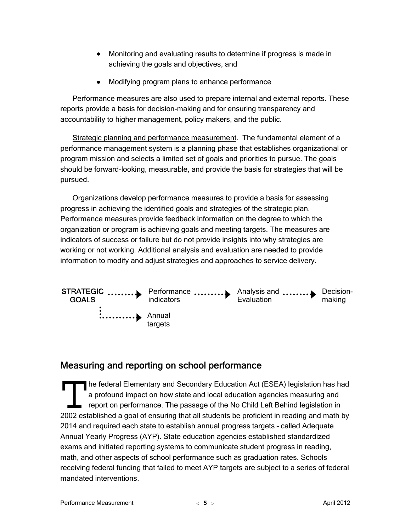- Monitoring and evaluating results to determine if progress is made in achieving the goals and objectives, and
- Modifying program plans to enhance performance

Performance measures are also used to prepare internal and external reports. These reports provide a basis for decision-making and for ensuring transparency and accountability to higher management, policy makers, and the public.

Strategic planning and performance measurement. The fundamental element of a performance management system is a planning phase that establishes organizational or program mission and selects a limited set of goals and priorities to pursue. The goals should be forward-looking, measurable, and provide the basis for strategies that will be pursued.

Organizations develop performance measures to provide a basis for assessing progress in achieving the identified goals and strategies of the strategic plan. Performance measures provide feedback information on the degree to which the organization or program is achieving goals and meeting targets. The measures are indicators of success or failure but do not provide insights into why strategies are working or not working. Additional analysis and evaluation are needed to provide information to modify and adjust strategies and approaches to service delivery.



### Measuring and reporting on school performance

he federal Elementary and Secondary Education Act (ESEA) legislation has had a profound impact on how state and local education agencies measuring and report on performance. The passage of the No Child Left Behind legislation in The federal Elementary and Secondary Education Act (ESEA) legislation has had<br>a profound impact on how state and local education agencies measuring and<br>report on performance. The passage of the No Child Left Behind legisla 2014 and required each state to establish annual progress targets – called Adequate Annual Yearly Progress (AYP). State education agencies established standardized exams and initiated reporting systems to communicate student progress in reading, math, and other aspects of school performance such as graduation rates. Schools receiving federal funding that failed to meet AYP targets are subject to a series of federal mandated interventions.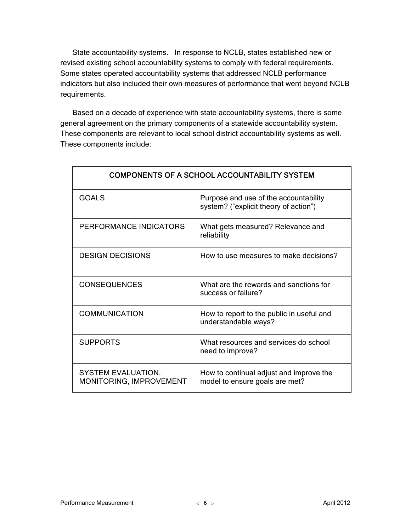State accountability systems. In response to NCLB, states established new or revised existing school accountability systems to comply with federal requirements. Some states operated accountability systems that addressed NCLB performance indicators but also included their own measures of performance that went beyond NCLB requirements.

Based on a decade of experience with state accountability systems, there is some general agreement on the primary components of a statewide accountability system. These components are relevant to local school district accountability systems as well. These components include:

| <b>COMPONENTS OF A SCHOOL ACCOUNTABILITY SYSTEM</b>  |                                                                                |  |
|------------------------------------------------------|--------------------------------------------------------------------------------|--|
| <b>GOALS</b>                                         | Purpose and use of the accountability<br>system? ("explicit theory of action") |  |
| PERFORMANCE INDICATORS                               | What gets measured? Relevance and<br>reliability                               |  |
| <b>DESIGN DECISIONS</b>                              | How to use measures to make decisions?                                         |  |
| <b>CONSEQUENCES</b>                                  | What are the rewards and sanctions for<br>success or failure?                  |  |
| <b>COMMUNICATION</b>                                 | How to report to the public in useful and<br>understandable ways?              |  |
| <b>SUPPORTS</b>                                      | What resources and services do school<br>need to improve?                      |  |
| <b>SYSTEM EVALUATION,</b><br>MONITORING, IMPROVEMENT | How to continual adjust and improve the<br>model to ensure goals are met?      |  |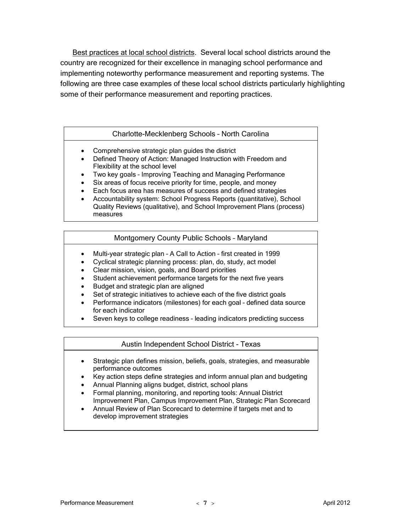Best practices at local school districts. Several local school districts around the country are recognized for their excellence in managing school performance and implementing noteworthy performance measurement and reporting systems. The following are three case examples of these local school districts particularly highlighting some of their performance measurement and reporting practices.

#### Charlotte-Mecklenberg Schools – North Carolina

• Comprehensive strategic plan guides the district

j

Ī

- Defined Theory of Action: Managed Instruction with Freedom and Flexibility at the school level
- Two key goals Improving Teaching and Managing Performance
- Six areas of focus receive priority for time, people, and money
- Each focus area has measures of success and defined strategies
- Accountability system: School Progress Reports (quantitative), School Quality Reviews (qualitative), and School Improvement Plans (process) measures

#### Montgomery County Public Schools – Maryland

- Multi-year strategic plan A Call to Action first created in 1999
- Cyclical strategic planning process: plan, do, study, act model
- Clear mission, vision, goals, and Board priorities
- Student achievement performance targets for the next five years
- Budget and strategic plan are aligned
- Set of strategic initiatives to achieve each of the five district goals
- Performance indicators (milestones) for each goal defined data source for each indicator
- Seven keys to college readiness leading indicators predicting success

#### Austin Independent School District - Texas

- Strategic plan defines mission, beliefs, goals, strategies, and measurable performance outcomes
- Key action steps define strategies and inform annual plan and budgeting
- Annual Planning aligns budget, district, school plans
- Formal planning, monitoring, and reporting tools: Annual District Improvement Plan, Campus Improvement Plan, Strategic Plan Scorecard
- Annual Review of Plan Scorecard to determine if targets met and to develop improvement strategies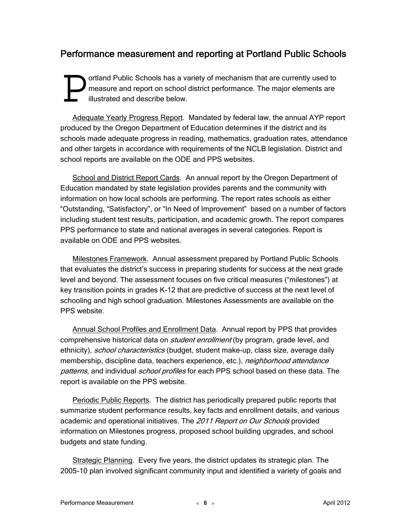### Performance measurement and reporting at Portland Public Schools

ortland Public Schools has a variety of mechanism that are currently used to measure and report on school district performance. The major elements are illustrated and describe below. **D** ortland F<br>
illustrate

Adequate Yearly Progress Report. Mandated by federal law, the annual AYP report produced by the Oregon Department of Education determines if the district and its schools made adequate progress in reading, mathematics, graduation rates, attendance and other targets in accordance with requirements of the NCLB legislation. District and school reports are available on the ODE and PPS websites.

School and District Report Cards. An annual report by the Oregon Department of Education mandated by state legislation provides parents and the community with information on how local schools are performing. The report rates schools as either "Outstanding, "Satisfactory", or "In Need of Improvement" based on a number of factors including student test results, participation, and academic growth. The report compares PPS performance to state and national averages in several categories. Report is available on ODE and PPS websites.

Milestones Framework. Annual assessment prepared by Portland Public Schools that evaluates the district's success in preparing students for success at the next grade level and beyond. The assessment focuses on five critical measures ("milestones") at key transition points in grades K-12 that are predictive of success at the next level of schooling and high school graduation. Milestones Assessments are available on the PPS website.

Annual School Profiles and Enrollment Data. Annual report by PPS that provides comprehensive historical data on *student enrollment* (by program, grade level, and ethnicity), *school characteristics* (budget, student make-up, class size, average daily membership, discipline data, teachers experience, etc.), *neighborhood attendance* patterns, and individual *school profiles* for each PPS school based on these data. The report is available on the PPS website.

Periodic Public Reports. The district has periodically prepared public reports that summarize student performance results, key facts and enrollment details, and various academic and operational initiatives. The 2011 Report on Our Schools provided information on Milestones progress, proposed school building upgrades, and school budgets and state funding.

Strategic Planning. Every five years, the district updates its strategic plan. The 2005-10 plan involved significant community input and identified a variety of goals and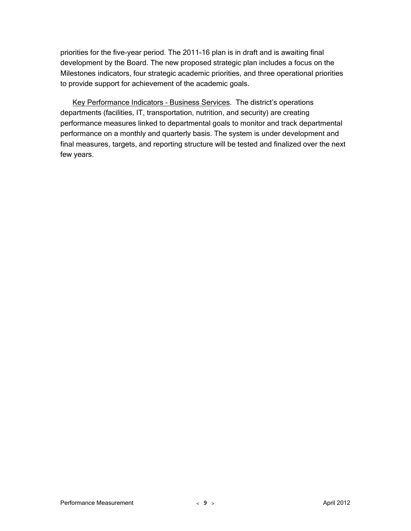priorities for the five-year period. The 2011-16 plan is in draft and is awaiting final development by the Board. The new proposed strategic plan includes a focus on the Milestones indicators, four strategic academic priorities, and three operational priorities to provide support for achievement of the academic goals.

Key Performance Indicators – Business Services. The district's operations departments (facilities, IT, transportation, nutrition, and security) are creating performance measures linked to departmental goals to monitor and track departmental performance on a monthly and quarterly basis. The system is under development and final measures, targets, and reporting structure will be tested and finalized over the next few years.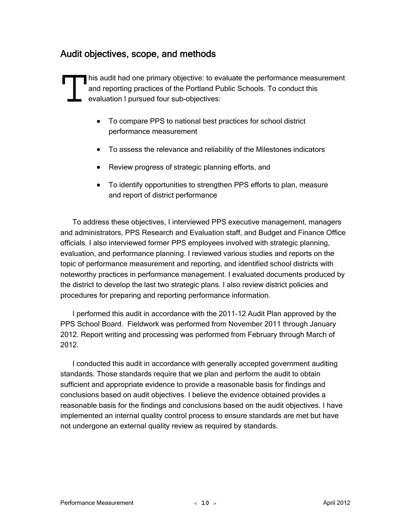### Audit objectives, scope, and methods

his audit had one primary objective: to evaluate the performance measurement and reporting practices of the Portland Public Schools. To conduct this evaluation I pursued four sub-objectives: his audit<br>and repo

- To compare PPS to national best practices for school district performance measurement
- To assess the relevance and reliability of the Milestones indicators
- Review progress of strategic planning efforts, and
- To identify opportunities to strengthen PPS efforts to plan, measure and report of district performance

To address these objectives, I interviewed PPS executive management, managers and administrators, PPS Research and Evaluation staff, and Budget and Finance Office officials. I also interviewed former PPS employees involved with strategic planning, evaluation, and performance planning. I reviewed various studies and reports on the topic of performance measurement and reporting, and identified school districts with noteworthy practices in performance management. I evaluated documents produced by the district to develop the last two strategic plans. I also review district policies and procedures for preparing and reporting performance information.

I performed this audit in accordance with the 2011-12 Audit Plan approved by the PPS School Board. Fieldwork was performed from November 2011 through January 2012. Report writing and processing was performed from February through March of 2012.

I conducted this audit in accordance with generally accepted government auditing standards. Those standards require that we plan and perform the audit to obtain sufficient and appropriate evidence to provide a reasonable basis for findings and conclusions based on audit objectives. I believe the evidence obtained provides a reasonable basis for the findings and conclusions based on the audit objectives. I have implemented an internal quality control process to ensure standards are met but have not undergone an external quality review as required by standards.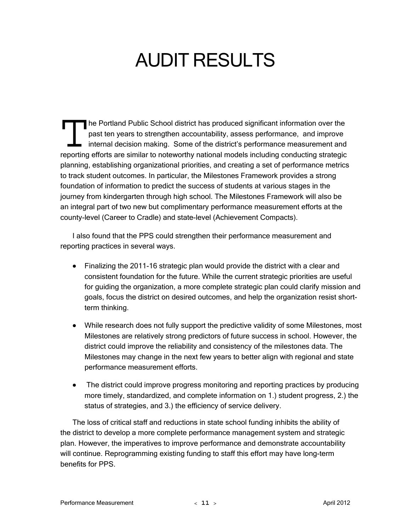# AUDIT RESULTS

he Portland Public School district has produced significant information over the past ten years to strengthen accountability, assess performance, and improve internal decision making. Some of the district's performance measurement and The Portland Public School district has produced significant information over the<br>past ten years to strengthen accountability, assess performance, and improve<br>internal decision making. Some of the district's performance me planning, establishing organizational priorities, and creating a set of performance metrics to track student outcomes. In particular, the Milestones Framework provides a strong foundation of information to predict the success of students at various stages in the journey from kindergarten through high school. The Milestones Framework will also be an integral part of two new but complimentary performance measurement efforts at the county-level (Career to Cradle) and state-level (Achievement Compacts).

I also found that the PPS could strengthen their performance measurement and reporting practices in several ways.

- Finalizing the 2011-16 strategic plan would provide the district with a clear and consistent foundation for the future. While the current strategic priorities are useful for guiding the organization, a more complete strategic plan could clarify mission and goals, focus the district on desired outcomes, and help the organization resist shortterm thinking.
- While research does not fully support the predictive validity of some Milestones, most Milestones are relatively strong predictors of future success in school. However, the district could improve the reliability and consistency of the milestones data. The Milestones may change in the next few years to better align with regional and state performance measurement efforts.
- The district could improve progress monitoring and reporting practices by producing more timely, standardized, and complete information on 1.) student progress, 2.) the status of strategies, and 3.) the efficiency of service delivery.

The loss of critical staff and reductions in state school funding inhibits the ability of the district to develop a more complete performance management system and strategic plan. However, the imperatives to improve performance and demonstrate accountability will continue. Reprogramming existing funding to staff this effort may have long-term benefits for PPS.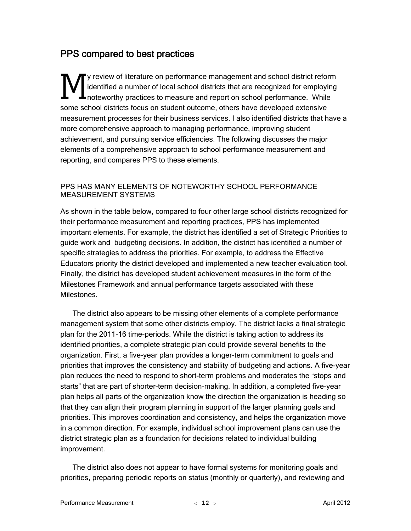## PPS compared to best practices

y review of literature on performance management and school district reform identified a number of local school districts that are recognized for employing **L** noteworthy practices to measure and report on school performance. While some school districts focus on student outcome, others have developed extensive measurement processes for their business services. I also identified districts that have a more comprehensive approach to managing performance, improving student achievement, and pursuing service efficiencies. The following discusses the major elements of a comprehensive approach to school performance measurement and reporting, and compares PPS to these elements.  $M_{\scriptscriptstyle{\rm{hotewor}}}^{\scriptscriptstyle{\rm{y\,review}}}$ 

#### PPS HAS MANY ELEMENTS OF NOTEWORTHY SCHOOL PERFORMANCE MEASUREMENT SYSTEMS

As shown in the table below, compared to four other large school districts recognized for their performance measurement and reporting practices, PPS has implemented important elements. For example, the district has identified a set of Strategic Priorities to guide work and budgeting decisions. In addition, the district has identified a number of specific strategies to address the priorities. For example, to address the Effective Educators priority the district developed and implemented a new teacher evaluation tool. Finally, the district has developed student achievement measures in the form of the Milestones Framework and annual performance targets associated with these **Milestones** 

The district also appears to be missing other elements of a complete performance management system that some other districts employ. The district lacks a final strategic plan for the 2011-16 time-periods. While the district is taking action to address its identified priorities, a complete strategic plan could provide several benefits to the organization. First, a five-year plan provides a longer-term commitment to goals and priorities that improves the consistency and stability of budgeting and actions. A five-year plan reduces the need to respond to short-term problems and moderates the "stops and starts" that are part of shorter-term decision-making. In addition, a completed five-year plan helps all parts of the organization know the direction the organization is heading so that they can align their program planning in support of the larger planning goals and priorities. This improves coordination and consistency, and helps the organization move in a common direction. For example, individual school improvement plans can use the district strategic plan as a foundation for decisions related to individual building improvement.

The district also does not appear to have formal systems for monitoring goals and priorities, preparing periodic reports on status (monthly or quarterly), and reviewing and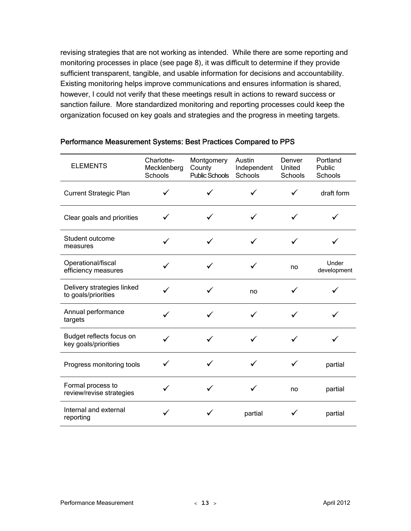revising strategies that are not working as intended. While there are some reporting and monitoring processes in place (see page 8), it was difficult to determine if they provide sufficient transparent, tangible, and usable information for decisions and accountability. Existing monitoring helps improve communications and ensures information is shared, however, I could not verify that these meetings result in actions to reward success or sanction failure. More standardized monitoring and reporting processes could keep the organization focused on key goals and strategies and the progress in meeting targets.

| <b>ELEMENTS</b>                                   | Charlotte-<br>Mecklenberg<br>Schools | Montgomery<br>County<br><b>Public Schools</b> | Austin<br>Independent<br>Schools | Denver<br>United<br>Schools | Portland<br>Public<br>Schools |
|---------------------------------------------------|--------------------------------------|-----------------------------------------------|----------------------------------|-----------------------------|-------------------------------|
| <b>Current Strategic Plan</b>                     | ✓                                    |                                               |                                  |                             | draft form                    |
| Clear goals and priorities                        | ✓                                    |                                               |                                  |                             |                               |
| Student outcome<br>measures                       | ✓                                    |                                               |                                  |                             |                               |
| Operational/fiscal<br>efficiency measures         |                                      |                                               |                                  | no                          | Under<br>development          |
| Delivery strategies linked<br>to goals/priorities |                                      |                                               | no                               |                             |                               |
| Annual performance<br>targets                     | ✓                                    |                                               |                                  |                             |                               |
| Budget reflects focus on<br>key goals/priorities  |                                      |                                               |                                  |                             |                               |
| Progress monitoring tools                         |                                      |                                               |                                  |                             | partial                       |
| Formal process to<br>review/revise strategies     |                                      |                                               |                                  | no                          | partial                       |
| Internal and external<br>reporting                | ✓                                    |                                               | partial                          |                             | partial                       |

#### Performance Measurement Systems: Best Practices Compared to PPS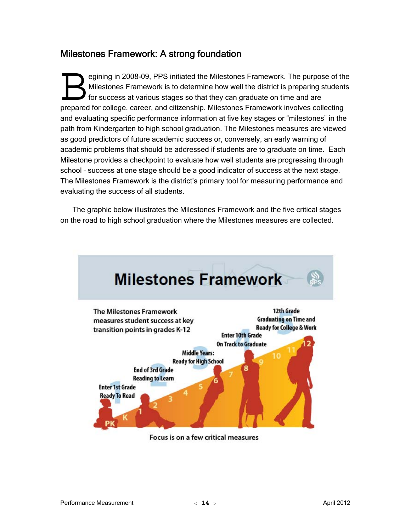## Milestones Framework: A strong foundation

egining in 2008-09, PPS initiated the Milestones Framework. The purpose of the Milestones Framework is to determine how well the district is preparing students for success at various stages so that they can graduate on time and are prepared for college, career, and citizenship. Milestones Framework. The purpose of the Milestones Framework is to determine how well the district is preparing student for success at various stages so that they can graduat and evaluating specific performance information at five key stages or "milestones" in the path from Kindergarten to high school graduation. The Milestones measures are viewed as good predictors of future academic success or, conversely, an early warning of academic problems that should be addressed if students are to graduate on time. Each Milestone provides a checkpoint to evaluate how well students are progressing through school – success at one stage should be a good indicator of success at the next stage. The Milestones Framework is the district's primary tool for measuring performance and evaluating the success of all students.

The graphic below illustrates the Milestones Framework and the five critical stages on the road to high school graduation where the Milestones measures are collected.



Focus is on a few critical measures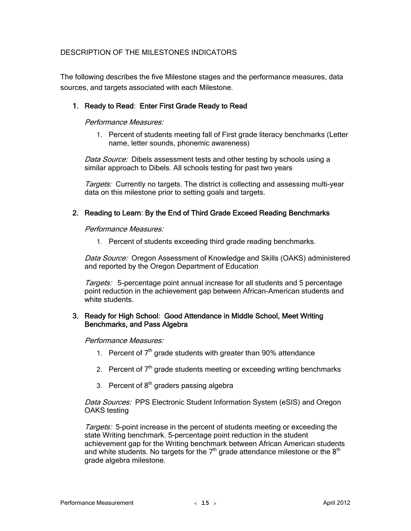#### DESCRIPTION OF THE MILESTONES INDICATORS

The following describes the five Milestone stages and the performance measures, data sources, and targets associated with each Milestone.

#### 1. Ready to Read: Enter First Grade Ready to Read

#### Performance Measures:

1. Percent of students meeting fall of First grade literacy benchmarks (Letter name, letter sounds, phonemic awareness)

Data Source: Dibels assessment tests and other testing by schools using a similar approach to Dibels. All schools testing for past two years

Targets: Currently no targets. The district is collecting and assessing multi-year data on this milestone prior to setting goals and targets.

#### 2. Reading to Learn: By the End of Third Grade Exceed Reading Benchmarks

Performance Measures:

1. Percent of students exceeding third grade reading benchmarks.

Data Source: Oregon Assessment of Knowledge and Skills (OAKS) administered and reported by the Oregon Department of Education

Targets: 5-percentage point annual increase for all students and 5 percentage point reduction in the achievement gap between African-American students and white students.

#### 3. Ready for High School: Good Attendance in Middle School, Meet Writing Benchmarks, and Pass Algebra

Performance Measures:

- 1. Percent of  $7<sup>th</sup>$  grade students with greater than 90% attendance
- 2. Percent of  $7<sup>th</sup>$  grade students meeting or exceeding writing benchmarks
- 3. Percent of  $8<sup>th</sup>$  graders passing algebra

Data Sources: PPS Electronic Student Information System (eSIS) and Oregon OAKS testing

Targets: 5-point increase in the percent of students meeting or exceeding the state Writing benchmark. 5-percentage point reduction in the student achievement gap for the Writing benchmark between African American students and white students. No targets for the  $7<sup>th</sup>$  grade attendance milestone or the  $8<sup>th</sup>$ grade algebra milestone.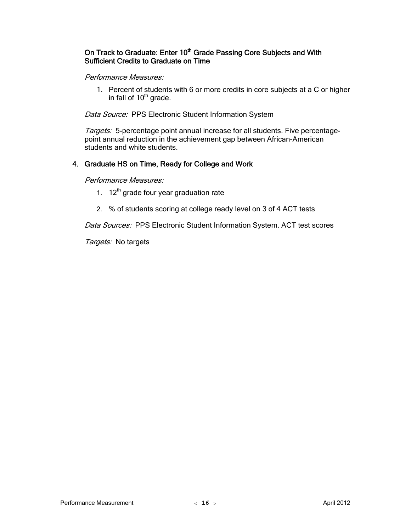#### On Track to Graduate: Enter 10<sup>th</sup> Grade Passing Core Subjects and With Sufficient Credits to Graduate on Time

#### Performance Measures:

1. Percent of students with 6 or more credits in core subjects at a C or higher in fall of  $10<sup>th</sup>$  grade.

Data Source: PPS Electronic Student Information System

Targets: 5-percentage point annual increase for all students. Five percentagepoint annual reduction in the achievement gap between African-American students and white students.

#### 4. Graduate HS on Time, Ready for College and Work

Performance Measures:

- 1.  $12<sup>th</sup>$  grade four year graduation rate
- 2. % of students scoring at college ready level on 3 of 4 ACT tests

Data Sources: PPS Electronic Student Information System. ACT test scores

Targets: No targets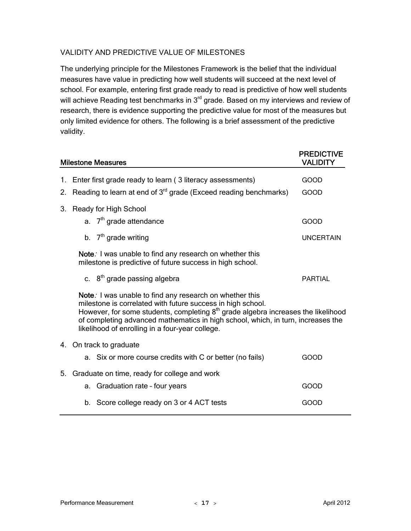#### VALIDITY AND PREDICTIVE VALUE OF MILESTONES

The underlying principle for the Milestones Framework is the belief that the individual measures have value in predicting how well students will succeed at the next level of school. For example, entering first grade ready to read is predictive of how well students will achieve Reading test benchmarks in 3<sup>rd</sup> grade. Based on my interviews and review of research, there is evidence supporting the predictive value for most of the measures but only limited evidence for others. The following is a brief assessment of the predictive validity.

|    | <b>Milestone Measures</b>                                                                                                                                                                                                                                                                                                                                      | <b>PREDICTIVE</b><br><b>VALIDITY</b> |
|----|----------------------------------------------------------------------------------------------------------------------------------------------------------------------------------------------------------------------------------------------------------------------------------------------------------------------------------------------------------------|--------------------------------------|
|    | 1. Enter first grade ready to learn (3 literacy assessments)                                                                                                                                                                                                                                                                                                   | <b>GOOD</b>                          |
| 2. | Reading to learn at end of 3 <sup>rd</sup> grade (Exceed reading benchmarks)                                                                                                                                                                                                                                                                                   | <b>GOOD</b>                          |
| 3. | Ready for High School                                                                                                                                                                                                                                                                                                                                          |                                      |
|    | a. $7th$ grade attendance                                                                                                                                                                                                                                                                                                                                      | <b>GOOD</b>                          |
|    | b. $7th$ grade writing                                                                                                                                                                                                                                                                                                                                         | <b>UNCERTAIN</b>                     |
|    | Note: I was unable to find any research on whether this<br>milestone is predictive of future success in high school.                                                                                                                                                                                                                                           |                                      |
|    | c. 8 <sup>th</sup> grade passing algebra                                                                                                                                                                                                                                                                                                                       | <b>PARTIAL</b>                       |
|    | Note: I was unable to find any research on whether this<br>milestone is correlated with future success in high school.<br>However, for some students, completing 8 <sup>th</sup> grade algebra increases the likelihood<br>of completing advanced mathematics in high school, which, in turn, increases the<br>likelihood of enrolling in a four-year college. |                                      |
|    | 4. On track to graduate                                                                                                                                                                                                                                                                                                                                        |                                      |
|    | a. Six or more course credits with C or better (no fails)                                                                                                                                                                                                                                                                                                      | GOOD                                 |
| 5. | Graduate on time, ready for college and work                                                                                                                                                                                                                                                                                                                   |                                      |
|    | a. Graduation rate - four years                                                                                                                                                                                                                                                                                                                                | <b>GOOD</b>                          |
|    | b. Score college ready on 3 or 4 ACT tests                                                                                                                                                                                                                                                                                                                     | GOOD                                 |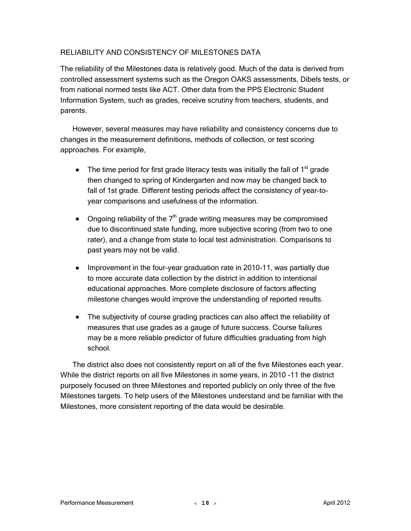#### RELIABILITY AND CONSISTENCY OF MILESTONES DATA

The reliability of the Milestones data is relatively good. Much of the data is derived from controlled assessment systems such as the Oregon OAKS assessments, Dibels tests, or from national normed tests like ACT. Other data from the PPS Electronic Student Information System, such as grades, receive scrutiny from teachers, students, and parents.

However, several measures may have reliability and consistency concerns due to changes in the measurement definitions, methods of collection, or test scoring approaches. For example,

- The time period for first grade literacy tests was initially the fall of  $1<sup>st</sup>$  grade then changed to spring of Kindergarten and now may be changed back to fall of 1st grade. Different testing periods affect the consistency of year-toyear comparisons and usefulness of the information.
- Ongoing reliability of the  $7<sup>th</sup>$  grade writing measures may be compromised due to discontinued state funding, more subjective scoring (from two to one rater), and a change from state to local test administration. Comparisons to past years may not be valid.
- Improvement in the four-year graduation rate in 2010-11, was partially due to more accurate data collection by the district in addition to intentional educational approaches. More complete disclosure of factors affecting milestone changes would improve the understanding of reported results.
- The subjectivity of course grading practices can also affect the reliability of measures that use grades as a gauge of future success. Course failures may be a more reliable predictor of future difficulties graduating from high school.

The district also does not consistently report on all of the five Milestones each year. While the district reports on all five Milestones in some years, in 2010 -11 the district purposely focused on three Milestones and reported publicly on only three of the five Milestones targets. To help users of the Milestones understand and be familiar with the Milestones, more consistent reporting of the data would be desirable.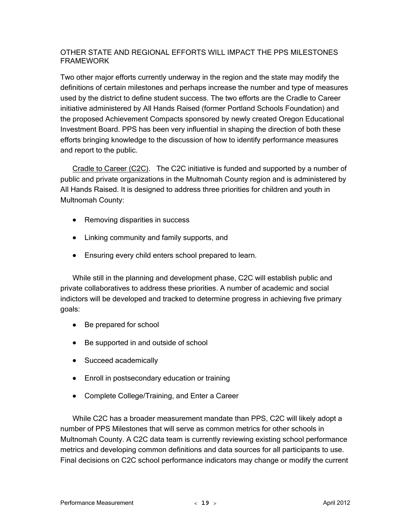#### OTHER STATE AND REGIONAL EFFORTS WILL IMPACT THE PPS MILESTONES FRAMEWORK

Two other major efforts currently underway in the region and the state may modify the definitions of certain milestones and perhaps increase the number and type of measures used by the district to define student success. The two efforts are the Cradle to Career initiative administered by All Hands Raised (former Portland Schools Foundation) and the proposed Achievement Compacts sponsored by newly created Oregon Educational Investment Board. PPS has been very influential in shaping the direction of both these efforts bringing knowledge to the discussion of how to identify performance measures and report to the public.

Cradle to Career (C2C). The C2C initiative is funded and supported by a number of public and private organizations in the Multnomah County region and is administered by All Hands Raised. It is designed to address three priorities for children and youth in Multnomah County:

- Removing disparities in success
- Linking community and family supports, and
- Ensuring every child enters school prepared to learn.

While still in the planning and development phase, C2C will establish public and private collaboratives to address these priorities. A number of academic and social indictors will be developed and tracked to determine progress in achieving five primary goals:

- Be prepared for school
- Be supported in and outside of school
- Succeed academically
- Enroll in postsecondary education or training
- Complete College/Training, and Enter a Career

While C2C has a broader measurement mandate than PPS, C2C will likely adopt a number of PPS Milestones that will serve as common metrics for other schools in Multnomah County. A C2C data team is currently reviewing existing school performance metrics and developing common definitions and data sources for all participants to use. Final decisions on C2C school performance indicators may change or modify the current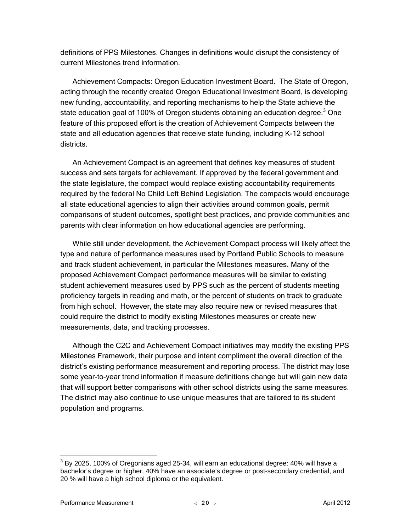definitions of PPS Milestones. Changes in definitions would disrupt the consistency of current Milestones trend information.

Achievement Compacts: Oregon Education Investment Board. The State of Oregon, acting through the recently created Oregon Educational Investment Board, is developing new funding, accountability, and reporting mechanisms to help the State achieve the state education goal of 100% of Oregon students obtaining an education degree.<sup>3</sup> One feature of this proposed effort is the creation of Achievement Compacts between the state and all education agencies that receive state funding, including K-12 school districts.

An Achievement Compact is an agreement that defines key measures of student success and sets targets for achievement. If approved by the federal government and the state legislature, the compact would replace existing accountability requirements required by the federal No Child Left Behind Legislation. The compacts would encourage all state educational agencies to align their activities around common goals, permit comparisons of student outcomes, spotlight best practices, and provide communities and parents with clear information on how educational agencies are performing.

While still under development, the Achievement Compact process will likely affect the type and nature of performance measures used by Portland Public Schools to measure and track student achievement, in particular the Milestones measures. Many of the proposed Achievement Compact performance measures will be similar to existing student achievement measures used by PPS such as the percent of students meeting proficiency targets in reading and math, or the percent of students on track to graduate from high school. However, the state may also require new or revised measures that could require the district to modify existing Milestones measures or create new measurements, data, and tracking processes.

Although the C2C and Achievement Compact initiatives may modify the existing PPS Milestones Framework, their purpose and intent compliment the overall direction of the district's existing performance measurement and reporting process. The district may lose some year-to-year trend information if measure definitions change but will gain new data that will support better comparisons with other school districts using the same measures. The district may also continue to use unique measures that are tailored to its student population and programs.

 $\overline{a}$ 

 $^3$  By 2025, 100% of Oregonians aged 25-34, will earn an educational degree: 40% will have a bachelor's degree or higher, 40% have an associate's degree or post-secondary credential, and 20 % will have a high school diploma or the equivalent.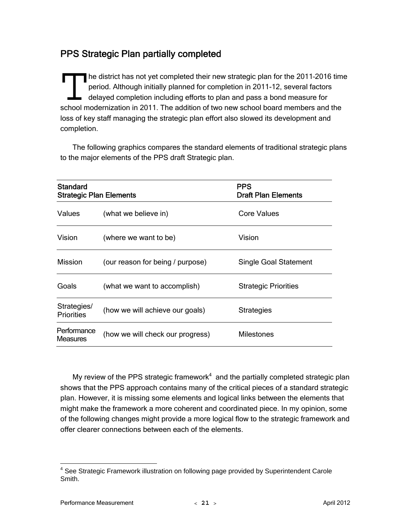## PPS Strategic Plan partially completed

he district has not yet completed their new strategic plan for the 2011–2016 time period. Although initially planned for completion in 2011-12, several factors delayed completion including efforts to plan and pass a bond measure for The district has not yet completed their new strategic plan for the 2011-2016 tim<br>period. Although initially planned for completion in 2011-12, several factors<br>delayed completion including efforts to plan and pass a bond m loss of key staff managing the strategic plan effort also slowed its development and completion.

The following graphics compares the standard elements of traditional strategic plans to the major elements of the PPS draft Strategic plan.

| <b>Standard</b><br><b>Strategic Plan Elements</b> |                                  | <b>PPS</b><br><b>Draft Plan Elements</b> |
|---------------------------------------------------|----------------------------------|------------------------------------------|
| <b>Values</b>                                     | (what we believe in)             | Core Values                              |
| Vision                                            | (where we want to be)            | Vision                                   |
| <b>Mission</b>                                    | (our reason for being / purpose) | <b>Single Goal Statement</b>             |
| Goals                                             | (what we want to accomplish)     | <b>Strategic Priorities</b>              |
| Strategies/<br><b>Priorities</b>                  | (how we will achieve our goals)  | <b>Strategies</b>                        |
| Performance<br><b>Measures</b>                    | (how we will check our progress) | Milestones                               |

My review of the PPS strategic framework $4$  and the partially completed strategic plan shows that the PPS approach contains many of the critical pieces of a standard strategic plan. However, it is missing some elements and logical links between the elements that might make the framework a more coherent and coordinated piece. In my opinion, some of the following changes might provide a more logical flow to the strategic framework and offer clearer connections between each of the elements.

 4 See Strategic Framework illustration on following page provided by Superintendent Carole Smith.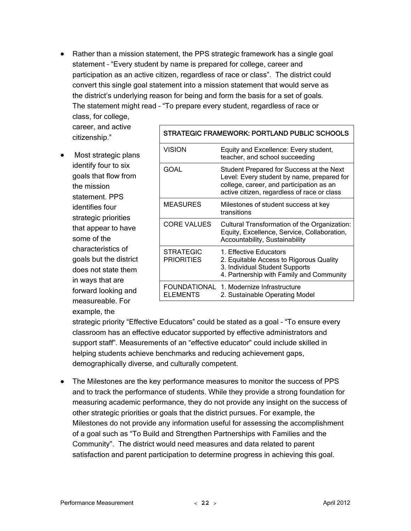• Rather than a mission statement, the PPS strategic framework has a single goal statement – "Every student by name is prepared for college, career and participation as an active citizen, regardless of race or class". The district could convert this single goal statement into a mission statement that would serve as the district's underlying reason for being and form the basis for a set of goals. The statement might read – "To prepare every student, regardless of race or

class, for college, career, and active citizenship."

• Most strategic plans identify four to six goals that flow from the mission statement. PPS identifies four strategic priorities that appear to have some of the characteristics of goals but the district does not state them in ways that are forward looking and measureable. For example, the

| <b>STRATEGIC FRAMEWORK: PORTLAND PUBLIC SCHOOLS</b> |                                                                                                                                                                                   |  |
|-----------------------------------------------------|-----------------------------------------------------------------------------------------------------------------------------------------------------------------------------------|--|
| <b>VISION</b>                                       | Equity and Excellence: Every student,<br>teacher, and school succeeding                                                                                                           |  |
| GOAL                                                | Student Prepared for Success at the Next<br>Level: Every student by name, prepared for<br>college, career, and participation as an<br>active citizen, regardless of race or class |  |
| <b>MEASURES</b>                                     | Milestones of student success at key<br>transitions                                                                                                                               |  |
| <b>CORE VALUES</b>                                  | Cultural Transformation of the Organization:<br>Equity, Excellence, Service, Collaboration,<br>Accountability, Sustainability                                                     |  |
| STRATEGIC<br><b>PRIORITIES</b>                      | 1. Effective Educators<br>2. Equitable Access to Rigorous Quality<br>3. Individual Student Supports<br>4. Partnership with Family and Community                                   |  |
| FOUNDATIONAL<br><b>ELEMENTS</b>                     | 1. Modernize Infrastructure<br>2. Sustainable Operating Model                                                                                                                     |  |

strategic priority "Effective Educators" could be stated as a goal – "To ensure every classroom has an effective educator supported by effective administrators and support staff". Measurements of an "effective educator" could include skilled in helping students achieve benchmarks and reducing achievement gaps, demographically diverse, and culturally competent.

• The Milestones are the key performance measures to monitor the success of PPS and to track the performance of students. While they provide a strong foundation for measuring academic performance, they do not provide any insight on the success of other strategic priorities or goals that the district pursues. For example, the Milestones do not provide any information useful for assessing the accomplishment of a goal such as "To Build and Strengthen Partnerships with Families and the Community". The district would need measures and data related to parent satisfaction and parent participation to determine progress in achieving this goal.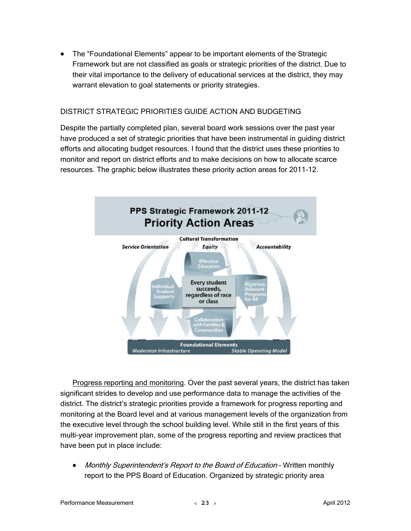• The "Foundational Elements" appear to be important elements of the Strategic Framework but are not classified as goals or strategic priorities of the district. Due to their vital importance to the delivery of educational services at the district, they may warrant elevation to goal statements or priority strategies.

#### DISTRICT STRATEGIC PRIORITIES GUIDE ACTION AND BUDGETING

Despite the partially completed plan, several board work sessions over the past year have produced a set of strategic priorities that have been instrumental in guiding district efforts and allocating budget resources. I found that the district uses these priorities to monitor and report on district efforts and to make decisions on how to allocate scarce resources. The graphic below illustrates these priority action areas for 2011-12.



Progress reporting and monitoring. Over the past several years, the district has taken significant strides to develop and use performance data to manage the activities of the district. The district's strategic priorities provide a framework for progress reporting and monitoring at the Board level and at various management levels of the organization from the executive level through the school building level. While still in the first years of this multi-year improvement plan, some of the progress reporting and review practices that have been put in place include:

• Monthly Superintendent's Report to the Board of Education - Written monthly report to the PPS Board of Education. Organized by strategic priority area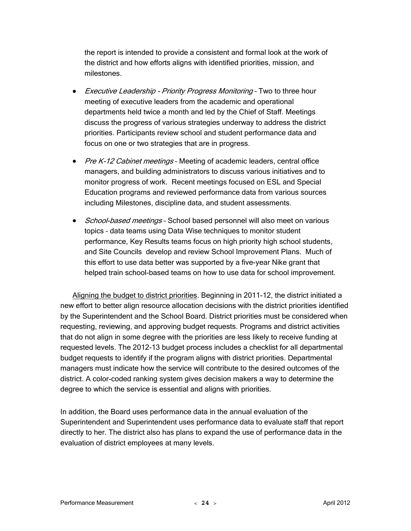the report is intended to provide a consistent and formal look at the work of the district and how efforts aligns with identified priorities, mission, and milestones.

- Executive Leadership Priority Progress Monitoring Two to three hour meeting of executive leaders from the academic and operational departments held twice a month and led by the Chief of Staff. Meetings discuss the progress of various strategies underway to address the district priorities. Participants review school and student performance data and focus on one or two strategies that are in progress.
- Pre K-12 Cabinet meetings Meeting of academic leaders, central office managers, and building administrators to discuss various initiatives and to monitor progress of work. Recent meetings focused on ESL and Special Education programs and reviewed performance data from various sources including Milestones, discipline data, and student assessments.
- School-based meetings School based personnel will also meet on various topics – data teams using Data Wise techniques to monitor student performance, Key Results teams focus on high priority high school students, and Site Councils develop and review School Improvement Plans. Much of this effort to use data better was supported by a five-year Nike grant that helped train school-based teams on how to use data for school improvement.

Aligning the budget to district priorities. Beginning in 2011-12, the district initiated a new effort to better align resource allocation decisions with the district priorities identified by the Superintendent and the School Board. District priorities must be considered when requesting, reviewing, and approving budget requests. Programs and district activities that do not align in some degree with the priorities are less likely to receive funding at requested levels. The 2012-13 budget process includes a checklist for all departmental budget requests to identify if the program aligns with district priorities. Departmental managers must indicate how the service will contribute to the desired outcomes of the district. A color-coded ranking system gives decision makers a way to determine the degree to which the service is essential and aligns with priorities.

In addition, the Board uses performance data in the annual evaluation of the Superintendent and Superintendent uses performance data to evaluate staff that report directly to her. The district also has plans to expand the use of performance data in the evaluation of district employees at many levels.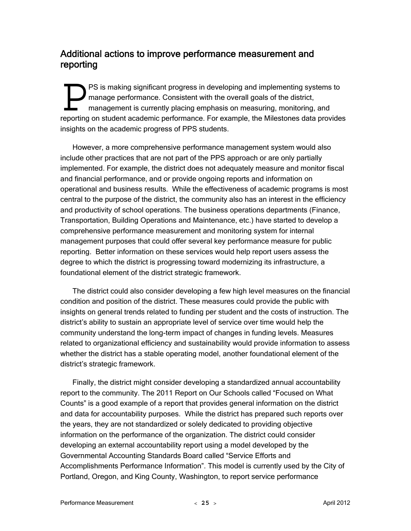### Additional actions to improve performance measurement and reporting

PS is making significant progress in developing and implementing systems to manage performance. Consistent with the overall goals of the district, management is currently placing emphasis on measuring, monitoring, and **PS** is making significant progress in developing and implementing systems to manage performance. Consistent with the overall goals of the district, management is currently placing emphasis on measuring, monitoring, and re insights on the academic progress of PPS students.

However, a more comprehensive performance management system would also include other practices that are not part of the PPS approach or are only partially implemented. For example, the district does not adequately measure and monitor fiscal and financial performance, and or provide ongoing reports and information on operational and business results. While the effectiveness of academic programs is most central to the purpose of the district, the community also has an interest in the efficiency and productivity of school operations. The business operations departments (Finance, Transportation, Building Operations and Maintenance, etc.) have started to develop a comprehensive performance measurement and monitoring system for internal management purposes that could offer several key performance measure for public reporting. Better information on these services would help report users assess the degree to which the district is progressing toward modernizing its infrastructure, a foundational element of the district strategic framework.

The district could also consider developing a few high level measures on the financial condition and position of the district. These measures could provide the public with insights on general trends related to funding per student and the costs of instruction. The district's ability to sustain an appropriate level of service over time would help the community understand the long-term impact of changes in funding levels. Measures related to organizational efficiency and sustainability would provide information to assess whether the district has a stable operating model, another foundational element of the district's strategic framework.

Finally, the district might consider developing a standardized annual accountability report to the community. The 2011 Report on Our Schools called "Focused on What Counts" is a good example of a report that provides general information on the district and data for accountability purposes. While the district has prepared such reports over the years, they are not standardized or solely dedicated to providing objective information on the performance of the organization. The district could consider developing an external accountability report using a model developed by the Governmental Accounting Standards Board called "Service Efforts and Accomplishments Performance Information". This model is currently used by the City of Portland, Oregon, and King County, Washington, to report service performance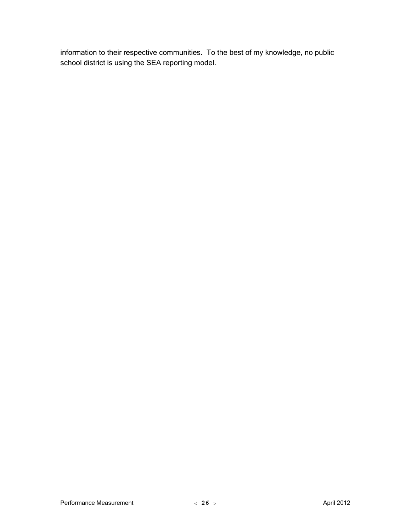information to their respective communities. To the best of my knowledge, no public school district is using the SEA reporting model.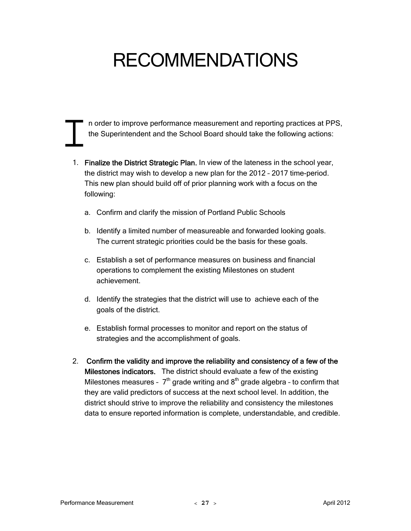## RECOMMENDATIONS

n order to improve performance measurement and reporting practices at PPS, the Superintendent and the School Board should take the following actions: n order the Supe

- 1. Finalize the District Strategic Plan. In view of the lateness in the school year, the district may wish to develop a new plan for the 2012 – 2017 time-period. This new plan should build off of prior planning work with a focus on the following:
	- a. Confirm and clarify the mission of Portland Public Schools
	- b. Identify a limited number of measureable and forwarded looking goals. The current strategic priorities could be the basis for these goals.
	- c. Establish a set of performance measures on business and financial operations to complement the existing Milestones on student achievement.
	- d. Identify the strategies that the district will use to achieve each of the goals of the district.
	- e. Establish formal processes to monitor and report on the status of strategies and the accomplishment of goals.
- 2. Confirm the validity and improve the reliability and consistency of a few of the Milestones indicators. The district should evaluate a few of the existing Milestones measures -  $7<sup>th</sup>$  grade writing and  $8<sup>th</sup>$  grade algebra - to confirm that they are valid predictors of success at the next school level. In addition, the district should strive to improve the reliability and consistency the milestones data to ensure reported information is complete, understandable, and credible.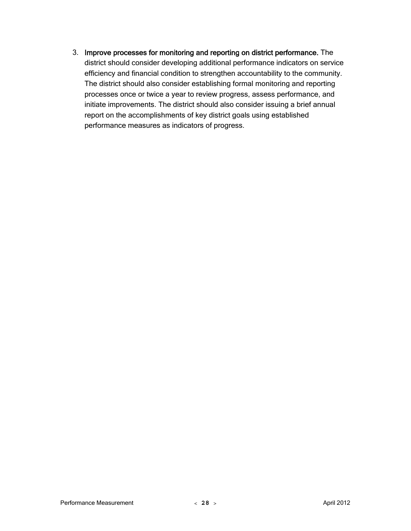3. Improve processes for monitoring and reporting on district performance. The district should consider developing additional performance indicators on service efficiency and financial condition to strengthen accountability to the community. The district should also consider establishing formal monitoring and reporting processes once or twice a year to review progress, assess performance, and initiate improvements. The district should also consider issuing a brief annual report on the accomplishments of key district goals using established performance measures as indicators of progress.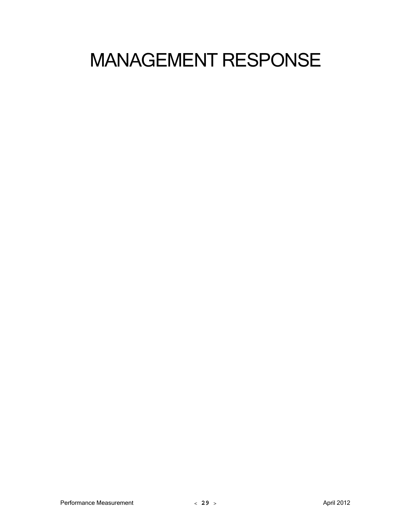## MANAGEMENT RESPONSE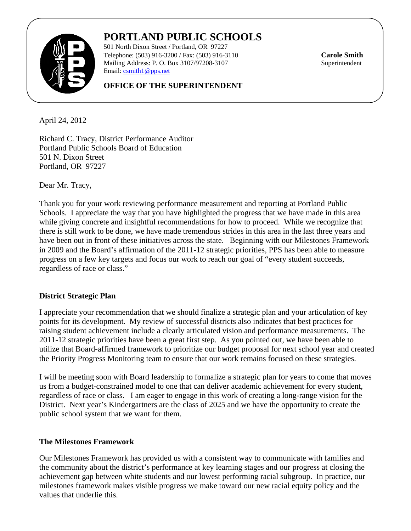

## **PORTLAND PUBLIC SCHOOLS**

501 North Dixon Street / Portland, OR 97227 Telephone: (503) 916-3200 / Fax: (503) 916-3110 **Carole Smith** Mailing Address: P. O. Box 3107/97208-3107 Email: csmith1@pps.net

#### **OFFICE OF THE SUPERINTENDENT**

April 24, 2012

Richard C. Tracy, District Performance Auditor Portland Public Schools Board of Education 501 N. Dixon Street Portland, OR 97227

Dear Mr. Tracy,

Thank you for your work reviewing performance measurement and reporting at Portland Public Schools. I appreciate the way that you have highlighted the progress that we have made in this area while giving concrete and insightful recommendations for how to proceed. While we recognize that there is still work to be done, we have made tremendous strides in this area in the last three years and have been out in front of these initiatives across the state. Beginning with our Milestones Framework in 2009 and the Board's affirmation of the 2011-12 strategic priorities, PPS has been able to measure progress on a few key targets and focus our work to reach our goal of "every student succeeds, regardless of race or class."

#### **District Strategic Plan**

I appreciate your recommendation that we should finalize a strategic plan and your articulation of key points for its development. My review of successful districts also indicates that best practices for raising student achievement include a clearly articulated vision and performance measurements. The 2011-12 strategic priorities have been a great first step. As you pointed out, we have been able to utilize that Board-affirmed framework to prioritize our budget proposal for next school year and created the Priority Progress Monitoring team to ensure that our work remains focused on these strategies.

I will be meeting soon with Board leadership to formalize a strategic plan for years to come that moves us from a budget-constrained model to one that can deliver academic achievement for every student, regardless of race or class. I am eager to engage in this work of creating a long-range vision for the District. Next year's Kindergartners are the class of 2025 and we have the opportunity to create the public school system that we want for them.

#### **The Milestones Framework**

Our Milestones Framework has provided us with a consistent way to communicate with families and the community about the district's performance at key learning stages and our progress at closing the achievement gap between white students and our lowest performing racial subgroup. In practice, our milestones framework makes visible progress we make toward our new racial equity policy and the values that underlie this.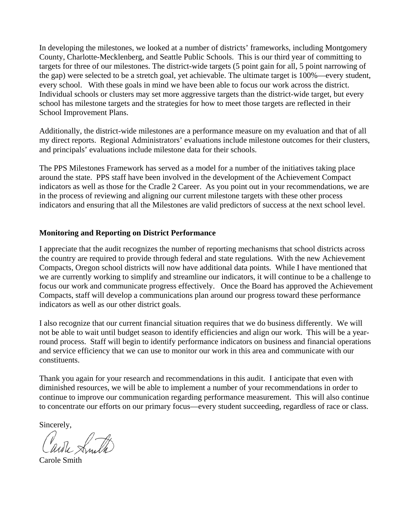In developing the milestones, we looked at a number of districts' frameworks, including Montgomery County, Charlotte-Mecklenberg, and Seattle Public Schools. This is our third year of committing to targets for three of our milestones. The district-wide targets (5 point gain for all, 5 point narrowing of the gap) were selected to be a stretch goal, yet achievable. The ultimate target is 100%—every student, every school. With these goals in mind we have been able to focus our work across the district. Individual schools or clusters may set more aggressive targets than the district-wide target, but every school has milestone targets and the strategies for how to meet those targets are reflected in their School Improvement Plans.

Additionally, the district-wide milestones are a performance measure on my evaluation and that of all my direct reports. Regional Administrators' evaluations include milestone outcomes for their clusters, and principals' evaluations include milestone data for their schools.

The PPS Milestones Framework has served as a model for a number of the initiatives taking place around the state. PPS staff have been involved in the development of the Achievement Compact indicators as well as those for the Cradle 2 Career. As you point out in your recommendations, we are in the process of reviewing and aligning our current milestone targets with these other process indicators and ensuring that all the Milestones are valid predictors of success at the next school level.

#### **Monitoring and Reporting on District Performance**

I appreciate that the audit recognizes the number of reporting mechanisms that school districts across the country are required to provide through federal and state regulations. With the new Achievement Compacts, Oregon school districts will now have additional data points. While I have mentioned that we are currently working to simplify and streamline our indicators, it will continue to be a challenge to focus our work and communicate progress effectively. Once the Board has approved the Achievement Compacts, staff will develop a communications plan around our progress toward these performance indicators as well as our other district goals.

I also recognize that our current financial situation requires that we do business differently. We will not be able to wait until budget season to identify efficiencies and align our work. This will be a yearround process. Staff will begin to identify performance indicators on business and financial operations and service efficiency that we can use to monitor our work in this area and communicate with our constituents.

Thank you again for your research and recommendations in this audit. I anticipate that even with diminished resources, we will be able to implement a number of your recommendations in order to continue to improve our communication regarding performance measurement. This will also continue to concentrate our efforts on our primary focus—every student succeeding, regardless of race or class.

Sincerely,

ardie Smith

Carole Smith